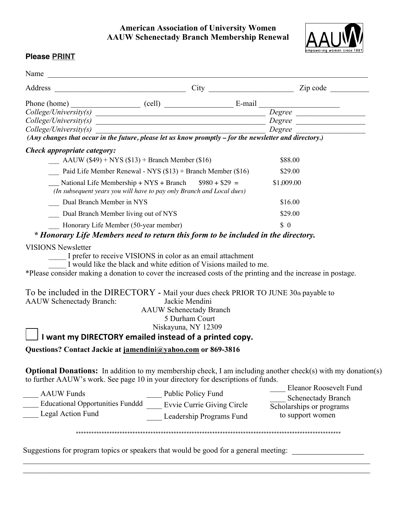## **American Association of University Women AAUW Schenectady Branch Membership Renewal**



## **Please PRINT**

|                                                                                                              | Address                                                                                                                          | $City$ $Zip code$ $\qquad$                                                                                                                                                     |
|--------------------------------------------------------------------------------------------------------------|----------------------------------------------------------------------------------------------------------------------------------|--------------------------------------------------------------------------------------------------------------------------------------------------------------------------------|
|                                                                                                              |                                                                                                                                  |                                                                                                                                                                                |
|                                                                                                              |                                                                                                                                  | Phone (home)<br>$\text{College/University}(s)$ $\text{College/University}(s)$ $\text{College/University}(s)$ $\text{Degree}$ $\text{Degree}$ $\text{Degree}$                   |
|                                                                                                              |                                                                                                                                  |                                                                                                                                                                                |
|                                                                                                              |                                                                                                                                  | $\text{Collect}(\text{University}(s)$ Degree Degree $\overline{\text{[Any changes that occur in the future, please let us know promptly - for the newsletter and directory.)}$ |
|                                                                                                              |                                                                                                                                  |                                                                                                                                                                                |
| Check appropriate category:                                                                                  |                                                                                                                                  |                                                                                                                                                                                |
| $\frac{\text{A}\text{A} \text{U}\text{W}}{(\text{$}49) + \text{N} \text{Y}}$ S (\$13) + Branch Member (\$16) |                                                                                                                                  | \$88.00                                                                                                                                                                        |
| Paid Life Member Renewal - NYS $(\$13)$ + Branch Member $(\$16)$                                             |                                                                                                                                  | \$29.00                                                                                                                                                                        |
|                                                                                                              | National Life Membership + NYS + Branch $$980 + $29 =$<br>(In subsequent years you will have to pay only Branch and Local dues)  | \$1,009.00                                                                                                                                                                     |
| Dual Branch Member in NYS                                                                                    |                                                                                                                                  | \$16.00                                                                                                                                                                        |
| Dual Branch Member living out of NYS                                                                         |                                                                                                                                  | \$29.00                                                                                                                                                                        |
| Honorary Life Member (50-year member)                                                                        |                                                                                                                                  | $\frac{1}{2}$                                                                                                                                                                  |
|                                                                                                              |                                                                                                                                  | * Honorary Life Members need to return this form to be included in the directory.                                                                                              |
| <b>VISIONS Newsletter</b>                                                                                    | I prefer to receive VISIONS in color as an email attachment<br>I would like the black and white edition of Visions mailed to me. | *Please consider making a donation to cover the increased costs of the printing and the increase in postage.                                                                   |

AAUW Schenectady Branch

5 Durham Court

Niskayuna, NY 12309

 **I want my DIRECTORY emailed instead of a printed copy.** 

**Questions? Contact Jackie at jamendini@yahoo.com or 869-3816**

**Optional Donations:** In addition to my membership check, I am including another check(s) with my donation(s) to further AAUW's work. See page 10 in your directory for descriptions of funds.

AAUW Funds \_\_\_\_ Educational Opportunities Funddd \_\_\_\_ Evvie Currie Giving Circle Legal Action Fund Public Policy Fund Leadership Programs Fund \_\_\_\_ Eleanor Roosevelt Fund Schenectady Branch Scholarships or programs to support women

\*\*\*\*\*\*\*\*\*\*\*\*\*\*\*\*\*\*\*\*\*\*\*\*\*\*\*\*\*\*\*\*\*\*\*\*\*\*\*\*\*\*\*\*\*\*\*\*\*\*\*\*\*\*\*\*\*\*\*\*\*\*\*\*\*\*\*\*\*\*\*\*\*\*\*\*\*\*\*\*\*\*\*\*\*\*\*\*\*\*\*\*\*\*\*\*\*\*\*\*\*\*\*

 $\_$ 

Suggestions for program topics or speakers that would be good for a general meeting: